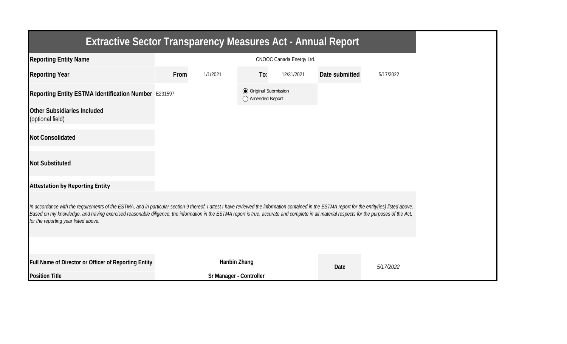| <b>Extractive Sector Transparency Measures Act - Annual Report</b>                                                                                                                                                                                                                                                                                                                                                                    |      |                         |                                                  |                          |                |           |  |  |  |
|---------------------------------------------------------------------------------------------------------------------------------------------------------------------------------------------------------------------------------------------------------------------------------------------------------------------------------------------------------------------------------------------------------------------------------------|------|-------------------------|--------------------------------------------------|--------------------------|----------------|-----------|--|--|--|
| <b>Reporting Entity Name</b>                                                                                                                                                                                                                                                                                                                                                                                                          |      |                         |                                                  | CNOOC Canada Energy Ltd. |                |           |  |  |  |
| <b>Reporting Year</b>                                                                                                                                                                                                                                                                                                                                                                                                                 | From | 1/1/2021                | To:                                              | 12/31/2021               | Date submitted | 5/17/2022 |  |  |  |
| Reporting Entity ESTMA Identification Number E231597                                                                                                                                                                                                                                                                                                                                                                                  |      |                         | <b>◎</b> Original Submission<br>◯ Amended Report |                          |                |           |  |  |  |
| <b>Other Subsidiaries Included</b><br>(optional field)                                                                                                                                                                                                                                                                                                                                                                                |      |                         |                                                  |                          |                |           |  |  |  |
| <b>Not Consolidated</b>                                                                                                                                                                                                                                                                                                                                                                                                               |      |                         |                                                  |                          |                |           |  |  |  |
| <b>Not Substituted</b>                                                                                                                                                                                                                                                                                                                                                                                                                |      |                         |                                                  |                          |                |           |  |  |  |
| <b>Attestation by Reporting Entity</b>                                                                                                                                                                                                                                                                                                                                                                                                |      |                         |                                                  |                          |                |           |  |  |  |
| In accordance with the requirements of the ESTMA, and in particular section 9 thereof, I attest I have reviewed the information contained in the ESTMA report for the entity(ies) listed above.<br>Based on my knowledge, and having exercised reasonable diligence, the information in the ESTMA report is true, accurate and complete in all material respects for the purposes of the Act,<br>for the reporting year listed above. |      |                         |                                                  |                          |                |           |  |  |  |
|                                                                                                                                                                                                                                                                                                                                                                                                                                       |      |                         |                                                  |                          |                |           |  |  |  |
| Full Name of Director or Officer of Reporting Entity                                                                                                                                                                                                                                                                                                                                                                                  |      | Hanbin Zhang            |                                                  |                          | Date           | 5/17/2022 |  |  |  |
| <b>Position Title</b>                                                                                                                                                                                                                                                                                                                                                                                                                 |      | Sr Manager - Controller |                                                  |                          |                |           |  |  |  |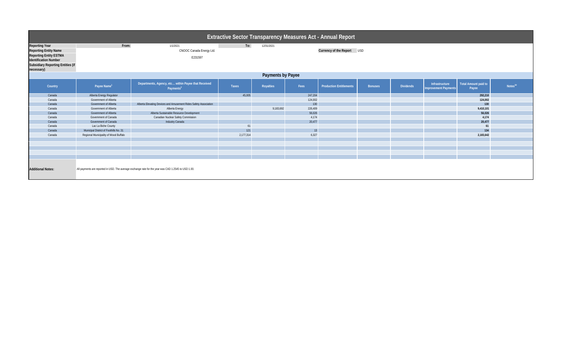| <b>Extractive Sector Transparency Measures Act - Annual Report</b>                                                               |                                        |                                                                              |              |                  |                            |                                |                |                  |                                                                                |                     |  |
|----------------------------------------------------------------------------------------------------------------------------------|----------------------------------------|------------------------------------------------------------------------------|--------------|------------------|----------------------------|--------------------------------|----------------|------------------|--------------------------------------------------------------------------------|---------------------|--|
| <b>Reporting Year</b>                                                                                                            | From:                                  | 1/1/2021                                                                     | To:          | 12/31/2021       |                            |                                |                |                  |                                                                                |                     |  |
| <b>Reporting Entity Name</b>                                                                                                     | CNOOC Canada Energy Ltd.               |                                                                              |              |                  | Currency of the Report USD |                                |                |                  |                                                                                |                     |  |
| <b>Reporting Entity ESTMA</b>                                                                                                    |                                        |                                                                              |              |                  |                            |                                |                |                  |                                                                                |                     |  |
| <b>Identification Number</b>                                                                                                     | E231597                                |                                                                              |              |                  |                            |                                |                |                  |                                                                                |                     |  |
| <b>Subsidiary Reporting Entities (if</b>                                                                                         |                                        |                                                                              |              |                  |                            |                                |                |                  |                                                                                |                     |  |
| necessary)                                                                                                                       |                                        |                                                                              |              |                  |                            |                                |                |                  |                                                                                |                     |  |
| <b>Payments by Payee</b>                                                                                                         |                                        |                                                                              |              |                  |                            |                                |                |                  |                                                                                |                     |  |
| Country                                                                                                                          | Payee Name <sup>1</sup>                | Departments, Agency, etc within Payee that Received<br>Payments <sup>2</sup> | <b>Taxes</b> | <b>Royalties</b> | Fees                       | <b>Production Entitlements</b> | <b>Bonuses</b> | <b>Dividends</b> | Total Amount paid to<br>Infrastructure<br><b>Improvement Payments</b><br>Payee | Notes <sup>34</sup> |  |
| Canada                                                                                                                           | Alberta Energy Regulator               |                                                                              | 45,005       |                  | 247,204                    |                                |                |                  | 292,210                                                                        |                     |  |
| Canada                                                                                                                           | Government of Alberta                  |                                                                              |              |                  | 124,002                    |                                |                |                  | 124,002                                                                        |                     |  |
| Canada                                                                                                                           | Government of Alberta                  | Alberta Elevating Devices and Amusement Rides Safety Association             |              |                  | 130                        |                                |                |                  | 130                                                                            |                     |  |
| Canada                                                                                                                           | Government of Alberta                  | Alberta Energy                                                               |              | 9,183,692        | 226,409                    |                                |                |                  | 9,410,101                                                                      |                     |  |
| Canada                                                                                                                           | Government of Alberta                  | Alberta Sustainable Resource Development                                     |              |                  | 56,026                     |                                |                |                  | 56,026                                                                         |                     |  |
| Canada                                                                                                                           | Government of Canada                   | <b>Canadian Nuclear Safety Commission</b>                                    |              |                  | 4,174                      |                                |                |                  | 4,174                                                                          |                     |  |
| Canada                                                                                                                           | Government of Canada                   | Industry Canada                                                              |              |                  | 20,477                     |                                |                |                  | 20,477                                                                         |                     |  |
| Canada                                                                                                                           | Lac La Biche County                    |                                                                              | 61           |                  |                            |                                |                |                  | 61                                                                             |                     |  |
| Canada                                                                                                                           | Municipal District of Foothills No. 31 |                                                                              | 121          |                  | 13                         |                                |                |                  | 134                                                                            |                     |  |
| Canada                                                                                                                           | Regional Municipality of Wood Buffalo  |                                                                              | 2,177,314    |                  | 6,327                      |                                |                |                  | 2,183,642                                                                      |                     |  |
|                                                                                                                                  |                                        |                                                                              |              |                  |                            |                                |                |                  |                                                                                |                     |  |
|                                                                                                                                  |                                        |                                                                              |              |                  |                            |                                |                |                  |                                                                                |                     |  |
|                                                                                                                                  |                                        |                                                                              |              |                  |                            |                                |                |                  |                                                                                |                     |  |
|                                                                                                                                  |                                        |                                                                              |              |                  |                            |                                |                |                  |                                                                                |                     |  |
|                                                                                                                                  |                                        |                                                                              |              |                  |                            |                                |                |                  |                                                                                |                     |  |
| <b>Additional Notes:</b><br>All payments are reported in USD. The average exchange rate for the year was CAD 1.2545 to USD 1.00. |                                        |                                                                              |              |                  |                            |                                |                |                  |                                                                                |                     |  |